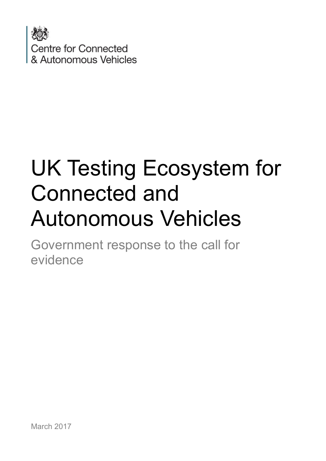

# UK Testing Ecosystem for Connected and Autonomous Vehicles

Government response to the call for evidence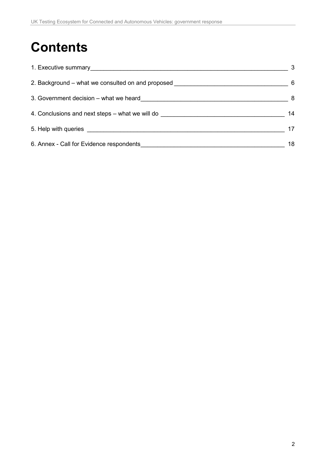# **Contents**

|                                                                                  | 3   |
|----------------------------------------------------------------------------------|-----|
| 2. Background – what we consulted on and proposed                                | - 6 |
| 3. Government decision – what we heard                                           | -8  |
| 4. Conclusions and next steps – what we will do ________________________________ | 14  |
|                                                                                  | 17  |
| 6. Annex - Call for Evidence respondents                                         | 18  |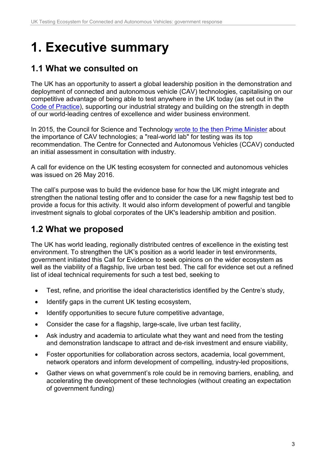# <span id="page-2-0"></span>**1. Executive summary**

### **1.1 What we consulted on**

The UK has an opportunity to assert a global leadership position in the demonstration and deployment of connected and autonomous vehicle (CAV) technologies, capitalising on our competitive advantage of being able to test anywhere in the UK today (as set out in the [Code of Practice\)](https://www.gov.uk/government/publications/automated-vehicle-technologies-testing-code-of-practice), supporting our industrial strategy and building on the strength in depth of our world-leading centres of excellence and wider business environment.

In 2015, the Council for Science and Technology [wrote to the then Prime Minister](https://www.gov.uk/government/publications/driverless-vehicles-opportunities-for-the-uk) about the importance of CAV technologies; a "real-world lab" for testing was its top recommendation. The Centre for Connected and Autonomous Vehicles (CCAV) conducted an initial assessment in consultation with industry.

A call for evidence on the UK testing ecosystem for connected and autonomous vehicles was issued on 26 May 2016.

The call's purpose was to build the evidence base for how the UK might integrate and strengthen the national testing offer and to consider the case for a new flagship test bed to provide a focus for this activity. It would also inform development of powerful and tangible investment signals to global corporates of the UK's leadership ambition and position.

### **1.2 What we proposed**

The UK has world leading, regionally distributed centres of excellence in the existing test environment. To strengthen the UK's position as a world leader in test environments, government initiated this Call for Evidence to seek opinions on the wider ecosystem as well as the viability of a flagship, live urban test bed. The call for evidence set out a refined list of ideal technical requirements for such a test bed, seeking to

- Test, refine, and prioritise the ideal characteristics identified by the Centre's study,
- Identify gaps in the current UK testing ecosystem,
- Identify opportunities to secure future competitive advantage,
- Consider the case for a flagship, large-scale, live urban test facility,
- Ask industry and academia to articulate what they want and need from the testing and demonstration landscape to attract and de-risk investment and ensure viability,
- Foster opportunities for collaboration across sectors, academia, local government, network operators and inform development of compelling, industry-led propositions,
- Gather views on what government's role could be in removing barriers, enabling, and accelerating the development of these technologies (without creating an expectation of government funding)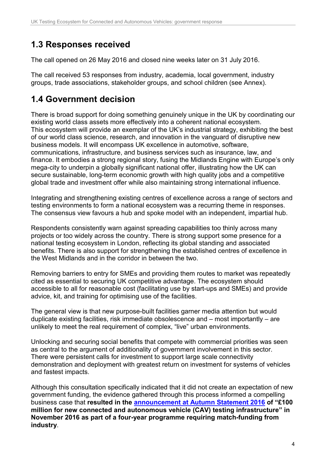### **1.3 Responses received**

The call opened on 26 May 2016 and closed nine weeks later on 31 July 2016.

The call received 53 responses from industry, academia, local government, industry groups, trade associations, stakeholder groups, and school children (see Annex).

# **1.4 Government decision**

There is broad support for doing something genuinely unique in the UK by coordinating our existing world class assets more effectively into a coherent national ecosystem. This ecosystem will provide an exemplar of the UK's industrial strategy, exhibiting the best of our world class science, research, and innovation in the vanguard of disruptive new business models. It will encompass UK excellence in automotive, software, communications, infrastructure, and business services such as insurance, law, and finance. It embodies a strong regional story, fusing the Midlands Engine with Europe's only mega-city to underpin a globally significant national offer, illustrating how the UK can secure sustainable, long-term economic growth with high quality jobs and a competitive global trade and investment offer while also maintaining strong international influence.

Integrating and strengthening existing centres of excellence across a range of sectors and testing environments to form a national ecosystem was a recurring theme in responses. The consensus view favours a hub and spoke model with an independent, impartial hub.

Respondents consistently warn against spreading capabilities too thinly across many projects or too widely across the country. There is strong support some presence for a national testing ecosystem in London, reflecting its global standing and associated benefits. There is also support for strengthening the established centres of excellence in the West Midlands and in the corridor in between the two.

Removing barriers to entry for SMEs and providing them routes to market was repeatedly cited as essential to securing UK competitive advantage. The ecosystem should accessible to all for reasonable cost (facilitating use by start-ups and SMEs) and provide advice, kit, and training for optimising use of the facilities.

The general view is that new purpose-built facilities garner media attention but would duplicate existing facilities, risk immediate obsolescence and – most importantly – are unlikely to meet the real requirement of complex, "live" urban environments.

Unlocking and securing social benefits that compete with commercial priorities was seen as central to the argument of additionality of government involvement in this sector. There were persistent calls for investment to support large scale connectivity demonstration and deployment with greatest return on investment for systems of vehicles and fastest impacts.

Although this consultation specifically indicated that it did not create an expectation of new government funding, the evidence gathered through this process informed a compelling business case that **resulted in the [announcement at Autumn Statement 2016](https://www.gov.uk/government/publications/autumn-statement-2016-documents/autumn-statement-2016) of "£100 million for new connected and autonomous vehicle (CAV) testing infrastructure" in November 2016 as part of a four-year programme requiring match-funding from industry**.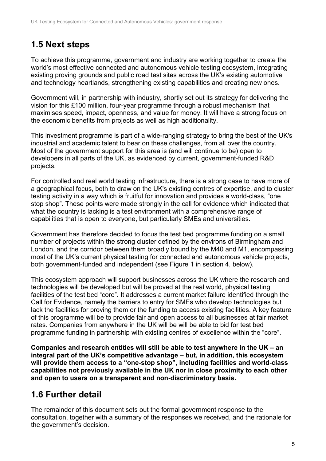# **1.5 Next steps**

To achieve this programme, government and industry are working together to create the world's most effective connected and autonomous vehicle testing ecosystem, integrating existing proving grounds and public road test sites across the UK's existing automotive and technology heartlands, strengthening existing capabilities and creating new ones.

Government will, in partnership with industry, shortly set out its strategy for delivering the vision for this £100 million, four-year programme through a robust mechanism that maximises speed, impact, openness, and value for money. It will have a strong focus on the economic benefits from projects as well as high additionality.

This investment programme is part of a wide-ranging strategy to bring the best of the UK's industrial and academic talent to bear on these challenges, from all over the country. Most of the government support for this area is (and will continue to be) open to developers in all parts of the UK, as evidenced by current, government-funded R&D projects.

For controlled and real world testing infrastructure, there is a strong case to have more of a geographical focus, both to draw on the UK's existing centres of expertise, and to cluster testing activity in a way which is fruitful for innovation and provides a world-class, "one stop shop". These points were made strongly in the call for evidence which indicated that what the country is lacking is a test environment with a comprehensive range of capabilities that is open to everyone, but particularly SMEs and universities.

Government has therefore decided to focus the test bed programme funding on a small number of projects within the strong cluster defined by the environs of Birmingham and London, and the corridor between them broadly bound by the M40 and M1, encompassing most of the UK's current physical testing for connected and autonomous vehicle projects, both government-funded and independent (see Figure 1 in section 4, below).

This ecosystem approach will support businesses across the UK where the research and technologies will be developed but will be proved at the real world, physical testing facilities of the test bed "core". It addresses a current market failure identified through the Call for Evidence, namely the barriers to entry for SMEs who develop technologies but lack the facilities for proving them or the funding to access existing facilities. A key feature of this programme will be to provide fair and open access to all businesses at fair market rates. Companies from anywhere in the UK will be will be able to bid for test bed programme funding in partnership with existing centres of excellence within the "core".

**Companies and research entities will still be able to test anywhere in the UK – an integral part of the UK's competitive advantage – but, in addition, this ecosystem will provide them access to a "one-stop shop", including facilities and world-class capabilities not previously available in the UK nor in close proximity to each other and open to users on a transparent and non-discriminatory basis.**

# **1.6 Further detail**

The remainder of this document sets out the formal government response to the consultation, together with a summary of the responses we received, and the rationale for the government's decision.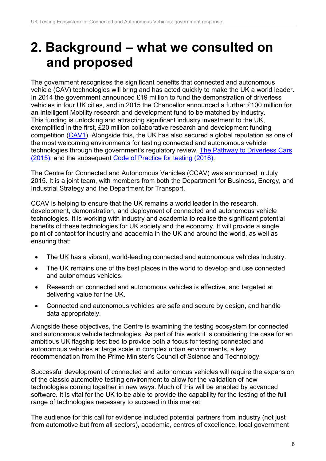# <span id="page-5-0"></span>**2. Background – what we consulted on and proposed**

The government recognises the significant benefits that connected and autonomous vehicle (CAV) technologies will bring and has acted quickly to make the UK a world leader. In 2014 the government announced £19 million to fund the demonstration of driverless vehicles in four UK cities, and in 2015 the Chancellor announced a further £100 million for an Intelligent Mobility research and development fund to be matched by industry. This funding is unlocking and attracting significant industry investment to the UK, exemplified in the first, £20 million collaborative research and development funding competition [\(CAV1\)](https://www.gov.uk/government/news/driverless-cars-technology-receives-20-million-boost). Alongside this, the UK has also secured a global reputation as one of the most welcoming environments for testing connected and autonomous vehicle technologies through the government's regulatory review, [The Pathway to Driverless Cars](https://www.gov.uk/government/publications/driverless-cars-in-the-uk-a-regulatory-review)  [\(2015\),](https://www.gov.uk/government/publications/driverless-cars-in-the-uk-a-regulatory-review) and the subsequent [Code of Practice for testing \(2016\).](https://www.gov.uk/government/publications/automated-vehicle-technologies-testing-code-of-practice)

The Centre for Connected and Autonomous Vehicles (CCAV) was announced in July 2015. It is a joint team, with members from both the Department for Business, Energy, and Industrial Strategy and the Department for Transport.

CCAV is helping to ensure that the UK remains a world leader in the research, development, demonstration, and deployment of connected and autonomous vehicle technologies. It is working with industry and academia to realise the significant potential benefits of these technologies for UK society and the economy. It will provide a single point of contact for industry and academia in the UK and around the world, as well as ensuring that:

- The UK has a vibrant, world-leading connected and autonomous vehicles industry.
- The UK remains one of the best places in the world to develop and use connected and autonomous vehicles.
- Research on connected and autonomous vehicles is effective, and targeted at delivering value for the UK.
- Connected and autonomous vehicles are safe and secure by design, and handle data appropriately.

Alongside these objectives, the Centre is examining the testing ecosystem for connected and autonomous vehicle technologies. As part of this work it is considering the case for an ambitious UK flagship test bed to provide both a focus for testing connected and autonomous vehicles at large scale in complex urban environments, a key recommendation from the Prime Minister's Council of Science and Technology.

Successful development of connected and autonomous vehicles will require the expansion of the classic automotive testing environment to allow for the validation of new technologies coming together in new ways. Much of this will be enabled by advanced software. It is vital for the UK to be able to provide the capability for the testing of the full range of technologies necessary to succeed in this market.

The audience for this call for evidence included potential partners from industry (not just from automotive but from all sectors), academia, centres of excellence, local government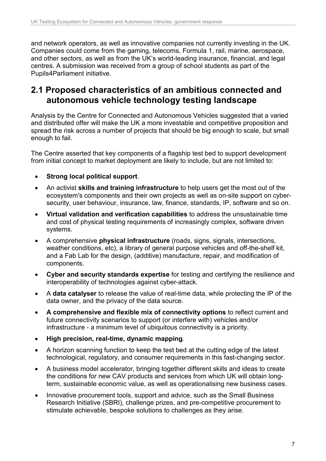and network operators, as well as innovative companies not currently investing in the UK. Companies could come from the gaming, telecoms, Formula 1, rail, marine, aerospace, and other sectors, as well as from the UK's world-leading insurance, financial, and legal centres. A submission was received from a group of school students as part of the Pupils4Parliament initiative.

#### **2.1 Proposed characteristics of an ambitious connected and autonomous vehicle technology testing landscape**

Analysis by the Centre for Connected and Autonomous Vehicles suggested that a varied and distributed offer will make the UK a more investable and competitive proposition and spread the risk across a number of projects that should be big enough to scale, but small enough to fail.

The Centre asserted that key components of a flagship test bed to support development from initial concept to market deployment are likely to include, but are not limited to:

- **Strong local political support**.
- An activist **skills and training infrastructure** to help users get the most out of the ecosystem's components and their own projects as well as on-site support on cybersecurity, user behaviour, insurance, law, finance, standards, IP, software and so on.
- **Virtual validation and verification capabilities** to address the unsustainable time and cost of physical testing requirements of increasingly complex, software driven systems.
- A comprehensive **physical infrastructure** (roads, signs, signals, intersections, weather conditions, etc), a library of general purpose vehicles and off-the-shelf kit, and a Fab Lab for the design, (additive) manufacture, repair, and modification of components.
- **Cyber and security standards expertise** for testing and certifying the resilience and interoperability of technologies against cyber-attack.
- A **data catalyser** to release the value of real-time data, while protecting the IP of the data owner, and the privacy of the data source.
- **A comprehensive and flexible mix of connectivity options** to reflect current and future connectivity scenarios to support (or interfere with) vehicles and/or infrastructure - a minimum level of ubiquitous connectivity is a priority.
- **High precision, real-time, dynamic mapping**.
- A horizon scanning function to keep the test bed at the cutting edge of the latest technological, regulatory, and consumer requirements in this fast-changing sector.
- A business model accelerator, bringing together different skills and ideas to create the conditions for new CAV products and services from which UK will obtain longterm, sustainable economic value, as well as operationalising new business cases.
- Innovative procurement tools, support and advice, such as the Small Business Research Initiative (SBRI), challenge prizes, and pre-competitive procurement to stimulate achievable, bespoke solutions to challenges as they arise.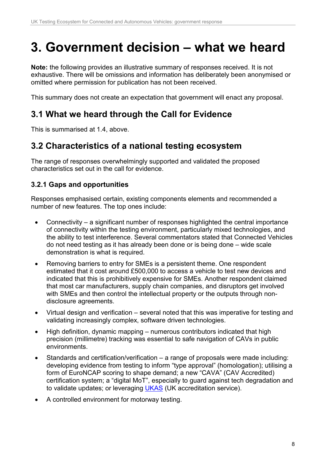# <span id="page-7-0"></span>**3. Government decision – what we heard**

**Note:** the following provides an illustrative summary of responses received. It is not exhaustive. There will be omissions and information has deliberately been anonymised or omitted where permission for publication has not been received.

This summary does not create an expectation that government will enact any proposal.

### **3.1 What we heard through the Call for Evidence**

This is summarised at 1.4, above.

### **3.2 Characteristics of a national testing ecosystem**

The range of responses overwhelmingly supported and validated the proposed characteristics set out in the call for evidence.

#### **3.2.1 Gaps and opportunities**

Responses emphasised certain, existing components elements and recommended a number of new features. The top ones include:

- Connectivity a significant number of responses highlighted the central importance of connectivity within the testing environment, particularly mixed technologies, and the ability to test interference. Several commentators stated that Connected Vehicles do not need testing as it has already been done or is being done – wide scale demonstration is what is required.
- Removing barriers to entry for SMEs is a persistent theme. One respondent estimated that it cost around £500,000 to access a vehicle to test new devices and indicated that this is prohibitively expensive for SMEs. Another respondent claimed that most car manufacturers, supply chain companies, and disruptors get involved with SMEs and then control the intellectual property or the outputs through nondisclosure agreements.
- Virtual design and verification several noted that this was imperative for testing and validating increasingly complex, software driven technologies.
- High definition, dynamic mapping numerous contributors indicated that high precision (millimetre) tracking was essential to safe navigation of CAVs in public environments.
- Standards and certification/verification a range of proposals were made including: developing evidence from testing to inform "type approval" (homologation); utilising a form of EuroNCAP scoring to shape demand; a new "CAVA" (CAV Accredited) certification system; a "digital MoT", especially to guard against tech degradation and to validate updates; or leveraging [UKAS](http://www.ukas.com/) (UK accreditation service).
- A controlled environment for motorway testing.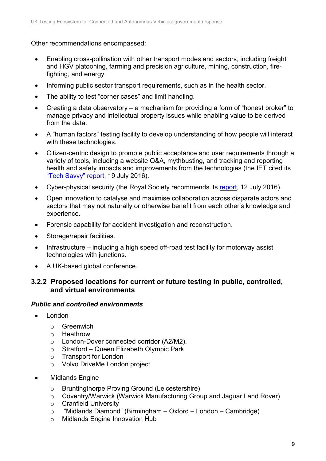Other recommendations encompassed:

- Enabling cross-pollination with other transport modes and sectors, including freight and HGV platooning, farming and precision agriculture, mining, construction, firefighting, and energy.
- Informing public sector transport requirements, such as in the health sector.
- The ability to test "corner cases" and limit handling.
- Creating a data observatory a mechanism for providing a form of "honest broker" to manage privacy and intellectual property issues while enabling value to be derived from the data.
- A "human factors" testing facility to develop understanding of how people will interact with these technologies.
- Citizen-centric design to promote public acceptance and user requirements through a variety of tools, including a website Q&A, mythbusting, and tracking and reporting health and safety impacts and improvements from the technologies (the IET cited its ["Tech Savvy" report,](http://www.theiet.org/sectors/thought-leadership/future-cities/articles/tech-savvy.cfm?utm_source=redirect&utm_medium=any&utm_campaign=tech-savvy) 19 July 2016).
- Cyber-physical security (the Royal Society recommends its [report,](https://royalsociety.org/topics-policy/projects/cybersecurity-research/) 12 July 2016).
- Open innovation to catalyse and maximise collaboration across disparate actors and sectors that may not naturally or otherwise benefit from each other's knowledge and experience.
- Forensic capability for accident investigation and reconstruction.
- Storage/repair facilities.
- Infrastructure including a high speed off-road test facility for motorway assist technologies with junctions.
- A UK-based global conference.

#### **3.2.2 Proposed locations for current or future testing in public, controlled, and virtual environments**

#### *Public and controlled environments*

- London
	- $\circ$  Greenwich
	- Heathrow
	- o London-Dover connected corridor (A2/M2).
	- $\circ$  Stratford Queen Elizabeth Olympic Park<br>  $\circ$  Transport for London
	- Transport for London
	- o Volvo DriveMe London project
- Midlands Engine
	- o Bruntingthorpe Proving Ground (Leicestershire)
	- o Coventry/Warwick (Warwick Manufacturing Group and Jaguar Land Rover)
	- o Cranfield University
	- o "Midlands Diamond" (Birmingham Oxford London Cambridge)
	- o Midlands Engine Innovation Hub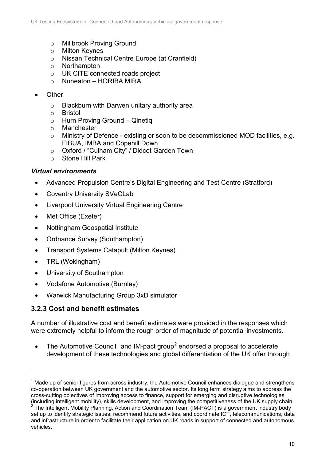- o Millbrook Proving Ground<br>o Milton Kevnes
- **Milton Keynes**
- o Nissan Technical Centre Europe (at Cranfield)
- o Northampton
- o UK CITE connected roads project
- o Nuneaton HORIBA MIRA
- Other
	- o Blackburn with Darwen unitary authority area
	- o Bristol
	- $\circ$  Hurn Proving Ground Qinetiq<br>  $\circ$  Manchester
	- Manchester
	- o Ministry of Defence existing or soon to be decommissioned MOD facilities, e.g. FIBUA, IMBA and Copehill Down
	- o Oxford / "Culham City" / Didcot Garden Town<br>
	o Stone Hill Park
	- Stone Hill Park

#### *Virtual environments*

- Advanced Propulsion Centre's Digital Engineering and Test Centre (Stratford)
- Coventry University SVeCLab
- Liverpool University Virtual Engineering Centre
- Met Office (Exeter)
- Nottingham Geospatial Institute
- Ordnance Survey (Southampton)
- Transport Systems Catapult (Milton Keynes)
- TRL (Wokingham)

-

- University of Southampton
- Vodafone Automotive (Burnley)
- Warwick Manufacturing Group 3xD simulator

#### **3.2.3 Cost and benefit estimates**

A number of illustrative cost and benefit estimates were provided in the responses which were extremely helpful to inform the rough order of magnitude of potential investments.

• The Automotive Council<sup>[1](#page-9-0)</sup> and IM-pact group<sup>[2](#page-9-1)</sup> endorsed a proposal to accelerate development of these technologies and global differentiation of the UK offer through

<span id="page-9-0"></span> $<sup>1</sup>$  Made up of senior figures from across industry, the Automotive Council enhances dialogue and strengthens</sup> co-operation between UK government and the automotive sector. Its long term strategy aims to address the cross-cutting objectives of improving access to finance, support for emerging and disruptive technologies (including intelligent mobility), skills development, and improving the competitiveness of the UK supply chain.

<span id="page-9-1"></span> $2$  The Intelligent Mobility Planning, Action and Coordination Team (IM-PACT) is a government industry body set up to identify strategic issues, recommend future activities, and coordinate ICT, telecommunications, data and infrastructure in order to facilitate their application on UK roads in support of connected and autonomous vehicles.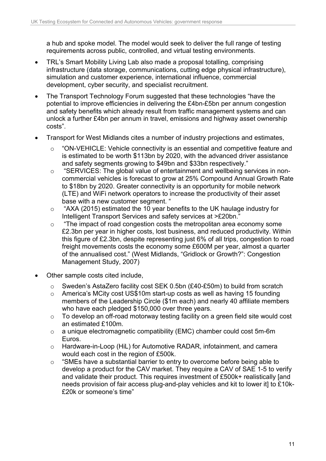a hub and spoke model. The model would seek to deliver the full range of testing requirements across public, controlled, and virtual testing environments.

- TRL's Smart Mobility Living Lab also made a proposal totalling, comprising infrastructure (data storage, communications, cutting edge physical infrastructure), simulation and customer experience, international influence, commercial development, cyber security, and specialist recruitment.
- The Transport Technology Forum suggested that these technologies "have the potential to improve efficiencies in delivering the £4bn-£5bn per annum congestion and safety benefits which already result from traffic management systems and can unlock a further £4bn per annum in travel, emissions and highway asset ownership costs".
- Transport for West Midlands cites a number of industry projections and estimates,
	- o "ON-VEHICLE: Vehicle connectivity is an essential and competitive feature and is estimated to be worth \$113bn by 2020, with the advanced driver assistance and safety segments growing to \$49bn and \$33bn respectively."
	- o "SERVICES: The global value of entertainment and wellbeing services in noncommercial vehicles is forecast to grow at 25% Compound Annual Growth Rate to \$18bn by 2020. Greater connectivity is an opportunity for mobile network (LTE) and WiFi network operators to increase the productivity of their asset base with a new customer segment. "
	- o "AXA (2015) estimated the 10 year benefits to the UK haulage industry for Intelligent Transport Services and safety services at >£20bn."
	- o "The impact of road congestion costs the metropolitan area economy some £2.3bn per year in higher costs, lost business, and reduced productivity. Within this figure of £2.3bn, despite representing just 6% of all trips, congestion to road freight movements costs the economy some £600M per year, almost a quarter of the annualised cost." (West Midlands, "Gridlock or Growth?": Congestion Management Study, 2007)
- Other sample costs cited include,
	- o Sweden's AstaZero facility cost SEK 0.5bn (£40-£50m) to build from scratch
	- o America's MCity cost US\$10m start-up costs as well as having 15 founding members of the Leadership Circle (\$1m each) and nearly 40 affiliate members who have each pledged \$150,000 over three years.
	- o To develop an off-road motorway testing facility on a green field site would cost an estimated £100m.
	- o a unique electromagnetic compatibility (EMC) chamber could cost 5m-6m Euros.
	- o Hardware-in-Loop (HiL) for Automotive RADAR, infotainment, and camera would each cost in the region of £500k.
	- o "SMEs have a substantial barrier to entry to overcome before being able to develop a product for the CAV market. They require a CAV of SAE 1-5 to verify and validate their product. This requires investment of £500k+ realistically [and needs provision of fair access plug-and-play vehicles and kit to lower it] to £10k- £20k or someone's time"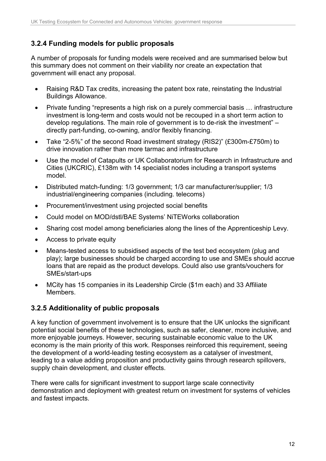#### **3.2.4 Funding models for public proposals**

A number of proposals for funding models were received and are summarised below but this summary does not comment on their viability nor create an expectation that government will enact any proposal.

- Raising R&D Tax credits, increasing the patent box rate, reinstating the Industrial Buildings Allowance.
- Private funding "represents a high risk on a purely commercial basis … infrastructure investment is long-term and costs would not be recouped in a short term action to develop regulations. The main role of government is to de-risk the investment" – directly part-funding, co-owning, and/or flexibly financing.
- Take "2-5%" of the second Road investment strategy (RIS2)" (£300m-£750m) to drive innovation rather than more tarmac and infrastructure
- Use the model of Catapults or UK Collaboratorium for Research in Infrastructure and Cities (UKCRIC), £138m with 14 specialist nodes including a transport systems model.
- Distributed match-funding: 1/3 government; 1/3 car manufacturer/supplier; 1/3 industrial/engineering companies (including. telecoms)
- Procurement/investment using projected social benefits
- Could model on MOD/dstl/BAE Systems' NiTEWorks collaboration
- Sharing cost model among beneficiaries along the lines of the Apprenticeship Levy.
- Access to private equity
- Means-tested access to subsidised aspects of the test bed ecosystem (plug and play); large businesses should be charged according to use and SMEs should accrue loans that are repaid as the product develops. Could also use grants/vouchers for SMEs/start-ups
- MCity has 15 companies in its Leadership Circle (\$1m each) and 33 Affiliate **Members**

#### **3.2.5 Additionality of public proposals**

A key function of government involvement is to ensure that the UK unlocks the significant potential social benefits of these technologies, such as safer, cleaner, more inclusive, and more enjoyable journeys. However, securing sustainable economic value to the UK economy is the main priority of this work. Responses reinforced this requirement, seeing the development of a world-leading testing ecosystem as a catalyser of investment, leading to a value adding proposition and productivity gains through research spillovers, supply chain development, and cluster effects.

There were calls for significant investment to support large scale connectivity demonstration and deployment with greatest return on investment for systems of vehicles and fastest impacts.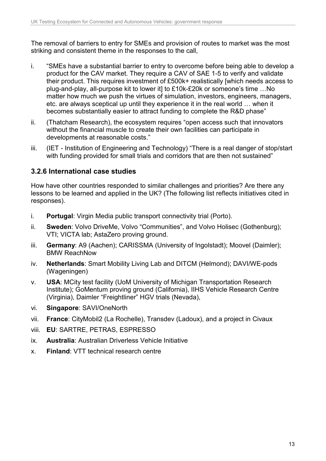The removal of barriers to entry for SMEs and provision of routes to market was the most striking and consistent theme in the responses to the call,

- i. "SMEs have a substantial barrier to entry to overcome before being able to develop a product for the CAV market. They require a CAV of SAE 1-5 to verify and validate their product. This requires investment of £500k+ realistically [which needs access to plug-and-play, all-purpose kit to lower it] to £10k-£20k or someone's time …No matter how much we push the virtues of simulation, investors, engineers, managers, etc. are always sceptical up until they experience it in the real world … when it becomes substantially easier to attract funding to complete the R&D phase"
- ii. (Thatcham Research), the ecosystem requires "open access such that innovators without the financial muscle to create their own facilities can participate in developments at reasonable costs."
- iii. (IET Institution of Engineering and Technology) "There is a real danger of stop/start with funding provided for small trials and corridors that are then not sustained"

#### **3.2.6 International case studies**

How have other countries responded to similar challenges and priorities? Are there any lessons to be learned and applied in the UK? (The following list reflects initiatives cited in responses).

- i. **Portugal**: Virgin Media public transport connectivity trial (Porto).
- ii. **Sweden**: Volvo DriveMe, Volvo "Communities", and Volvo Holisec (Gothenburg); VTI; VICTA lab; AstaZero proving ground.
- iii. **Germany**: A9 (Aachen); CARISSMA (University of Ingolstadt); Moovel (Daimler); BMW ReachNow
- iv. **Netherlands**: Smart Mobility Living Lab and DITCM (Helmond); DAVI/WE-pods (Wageningen)
- v. **USA**: MCity test facility (UoM University of Michigan Transportation Research Institute); GoMentum proving ground (California), IIHS Vehicle Research Centre (Virginia), Daimler "Freightliner" HGV trials (Nevada),
- vi. **Singapore**: SAVI/OneNorth
- vii. **France**: CityMobil2 (La Rochelle), Transdev (Ladoux), and a project in Civaux
- viii. **EU**: SARTRE, PETRAS, ESPRESSO
- ix. **Australia**: Australian Driverless Vehicle Initiative
- x. **Finland**: VTT technical research centre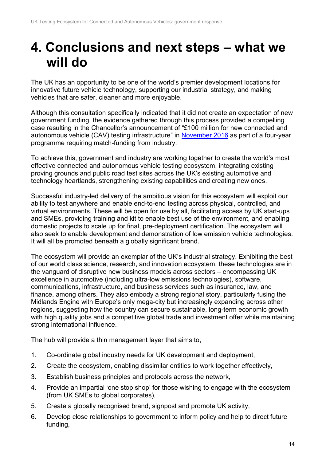# <span id="page-13-0"></span>**4. Conclusions and next steps – what we will do**

The UK has an opportunity to be one of the world's premier development locations for innovative future vehicle technology, supporting our industrial strategy, and making vehicles that are safer, cleaner and more enjoyable.

Although this consultation specifically indicated that it did not create an expectation of new government funding, the evidence gathered through this process provided a compelling case resulting in the Chancellor's announcement of "£100 million for new connected and autonomous vehicle (CAV) testing infrastructure" in [November 2016](https://www.gov.uk/government/publications/autumn-statement-2016-documents/autumn-statement-2016) as part of a four-year programme requiring match-funding from industry.

To achieve this, government and industry are working together to create the world's most effective connected and autonomous vehicle testing ecosystem, integrating existing proving grounds and public road test sites across the UK's existing automotive and technology heartlands, strengthening existing capabilities and creating new ones.

Successful industry-led delivery of the ambitious vision for this ecosystem will exploit our ability to test anywhere and enable end-to-end testing across physical, controlled, and virtual environments. These will be open for use by all, facilitating access by UK start-ups and SMEs, providing training and kit to enable best use of the environment, and enabling domestic projects to scale up for final, pre-deployment certification. The ecosystem will also seek to enable development and demonstration of low emission vehicle technologies. It will all be promoted beneath a globally significant brand.

The ecosystem will provide an exemplar of the UK's industrial strategy. Exhibiting the best of our world class science, research, and innovation ecosystem, these technologies are in the vanguard of disruptive new business models across sectors – encompassing UK excellence in automotive (including ultra-low emissions technologies), software, communications, infrastructure, and business services such as insurance, law, and finance, among others. They also embody a strong regional story, particularly fusing the Midlands Engine with Europe's only mega-city but increasingly expanding across other regions, suggesting how the country can secure sustainable, long-term economic growth with high quality jobs and a competitive global trade and investment offer while maintaining strong international influence.

The hub will provide a thin management layer that aims to,

- 1. Co-ordinate global industry needs for UK development and deployment,
- 2. Create the ecosystem, enabling dissimilar entities to work together effectively,
- 3. Establish business principles and protocols across the network,
- 4. Provide an impartial 'one stop shop' for those wishing to engage with the ecosystem (from UK SMEs to global corporates),
- 5. Create a globally recognised brand, signpost and promote UK activity,
- 6. Develop close relationships to government to inform policy and help to direct future funding,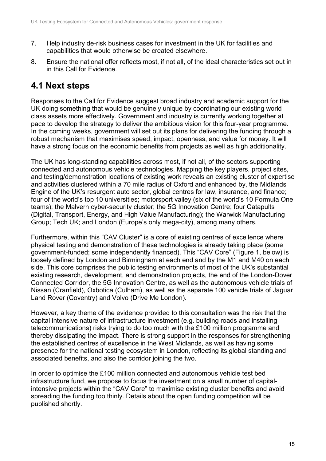- 7. Help industry de-risk business cases for investment in the UK for facilities and capabilities that would otherwise be created elsewhere.
- 8. Ensure the national offer reflects most, if not all, of the ideal characteristics set out in in this Call for Evidence.

# **4.1 Next steps**

Responses to the Call for Evidence suggest broad industry and academic support for the UK doing something that would be genuinely unique by coordinating our existing world class assets more effectively. Government and industry is currently working together at pace to develop the strategy to deliver the ambitious vision for this four-year programme. In the coming weeks, government will set out its plans for delivering the funding through a robust mechanism that maximises speed, impact, openness, and value for money. It will have a strong focus on the economic benefits from projects as well as high additionality.

The UK has long-standing capabilities across most, if not all, of the sectors supporting connected and autonomous vehicle technologies. Mapping the key players, project sites, and testing/demonstration locations of existing work reveals an existing cluster of expertise and activities clustered within a 70 mile radius of Oxford and enhanced by, the Midlands Engine of the UK's resurgent auto sector, global centres for law, insurance, and finance; four of the world's top 10 universities; motorsport valley (six of the world's 10 Formula One teams); the Malvern cyber-security cluster; the 5G Innovation Centre; four Catapults (Digital, Transport, Energy, and High Value Manufacturing); the Warwick Manufacturing Group; Tech UK; and London (Europe's only mega-city), among many others.

Furthermore, within this "CAV Cluster" is a core of existing centres of excellence where physical testing and demonstration of these technologies is already taking place (some government-funded; some independently financed). This "CAV Core" (Figure 1, below) is loosely defined by London and Birmingham at each end and by the M1 and M40 on each side. This core comprises the public testing environments of most of the UK's substantial existing research, development, and demonstration projects, the end of the London-Dover Connected Corridor, the 5G Innovation Centre, as well as the autonomous vehicle trials of Nissan (Cranfield), Oxbotica (Culham), as well as the separate 100 vehicle trials of Jaguar Land Rover (Coventry) and Volvo (Drive Me London).

However, a key theme of the evidence provided to this consultation was the risk that the capital intensive nature of infrastructure investment (e.g. building roads and installing telecommunications) risks trying to do too much with the £100 million programme and thereby dissipating the impact. There is strong support in the responses for strengthening the established centres of excellence in the West Midlands, as well as having some presence for the national testing ecosystem in London, reflecting its global standing and associated benefits, and also the corridor joining the two.

In order to optimise the £100 million connected and autonomous vehicle test bed infrastructure fund, we propose to focus the investment on a small number of capitalintensive projects within the "CAV Core" to maximise existing cluster benefits and avoid spreading the funding too thinly. Details about the open funding competition will be published shortly.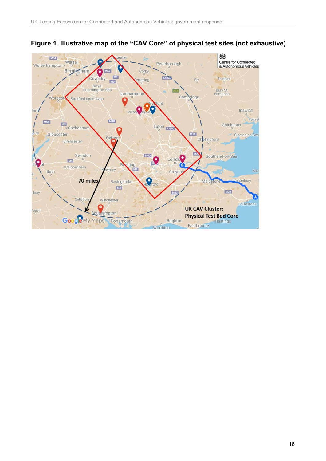

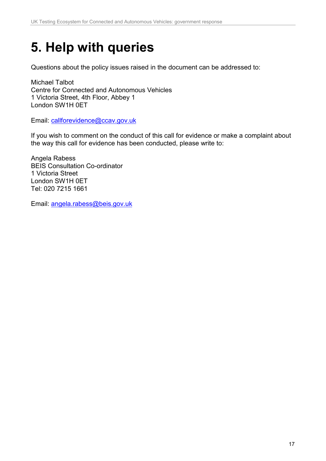# <span id="page-16-0"></span>**5. Help with queries**

Questions about the policy issues raised in the document can be addressed to:

Michael Talbot Centre for Connected and Autonomous Vehicles 1 Victoria Street, 4th Floor, Abbey 1 London SW1H 0ET

Email: [callforevidence@ccav.gov.uk](mailto:callforevidence@ccav.gov.uk) 

If you wish to comment on the conduct of this call for evidence or make a complaint about the way this call for evidence has been conducted, please write to:

Angela Rabess BEIS Consultation Co-ordinator 1 Victoria Street London SW1H 0ET Tel: 020 7215 1661

Email: [angela.rabess@beis.gov.uk](mailto:angela.rabess@beis.gov.uk)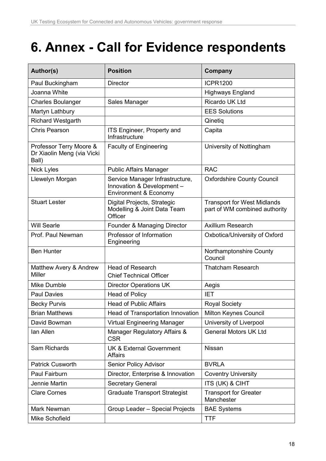# <span id="page-17-0"></span>**6. Annex - Call for Evidence respondents**

| Author(s)                                                      | <b>Position</b>                                                                        | Company                                                             |
|----------------------------------------------------------------|----------------------------------------------------------------------------------------|---------------------------------------------------------------------|
| Paul Buckingham                                                | <b>Director</b>                                                                        | <b>ICPR1200</b>                                                     |
| Joanna White                                                   |                                                                                        | <b>Highways England</b>                                             |
| <b>Charles Boulanger</b>                                       | Sales Manager                                                                          | Ricardo UK Ltd                                                      |
| Martyn Lathbury                                                |                                                                                        | <b>EES Solutions</b>                                                |
| <b>Richard Westgarth</b>                                       |                                                                                        | Qinetig                                                             |
| <b>Chris Pearson</b>                                           | ITS Engineer, Property and<br>Infrastructure                                           | Capita                                                              |
| Professor Terry Moore &<br>Dr Xiaolin Meng (via Vicki<br>Ball) | <b>Faculty of Engineering</b>                                                          | University of Nottingham                                            |
| <b>Nick Lyles</b>                                              | <b>Public Affairs Manager</b>                                                          | <b>RAC</b>                                                          |
| Llewelyn Morgan                                                | Service Manager Infrastructure,<br>Innovation & Development -<br>Environment & Economy | <b>Oxfordshire County Council</b>                                   |
| <b>Stuart Lester</b>                                           | Digital Projects, Strategic<br>Modelling & Joint Data Team<br>Officer                  | <b>Transport for West Midlands</b><br>part of WM combined authority |
| <b>Will Searle</b>                                             | Founder & Managing Director                                                            | <b>Axillium Research</b>                                            |
| Prof. Paul Newman                                              | Professor of Information<br>Engineering                                                | Oxbotica/University of Oxford                                       |
| <b>Ben Hunter</b>                                              |                                                                                        | Northamptonshire County<br>Council                                  |
| Matthew Avery & Andrew<br><b>Miller</b>                        | <b>Head of Research</b><br><b>Chief Technical Officer</b>                              | <b>Thatcham Research</b>                                            |
| Mike Dumble                                                    | <b>Director Operations UK</b>                                                          | Aegis                                                               |
| <b>Paul Davies</b>                                             | <b>Head of Policy</b>                                                                  | <b>IET</b>                                                          |
| <b>Becky Purvis</b>                                            | <b>Head of Public Affairs</b>                                                          | <b>Royal Society</b>                                                |
| <b>Brian Matthews</b>                                          | Head of Transportation Innovation                                                      | Milton Keynes Council                                               |
| David Bowman                                                   | <b>Virtual Engineering Manager</b>                                                     | University of Liverpool                                             |
| lan Allen                                                      | Manager Regulatory Affairs &<br><b>CSR</b>                                             | <b>General Motors UK Ltd</b>                                        |
| Sam Richards                                                   | <b>UK &amp; External Government</b><br>Affairs                                         | Nissan                                                              |
| <b>Patrick Cusworth</b>                                        | Senior Policy Advisor                                                                  | <b>BVRLA</b>                                                        |
| Paul Fairburn                                                  | Director, Enterprise & Innovation                                                      | <b>Coventry University</b>                                          |
| Jennie Martin                                                  | <b>Secretary General</b>                                                               | ITS (UK) & CIHT                                                     |
| <b>Clare Cornes</b>                                            | <b>Graduate Transport Strategist</b>                                                   | <b>Transport for Greater</b><br>Manchester                          |
| Mark Newman                                                    | Group Leader - Special Projects                                                        | <b>BAE Systems</b>                                                  |
| Mike Schofield                                                 |                                                                                        | <b>TTF</b>                                                          |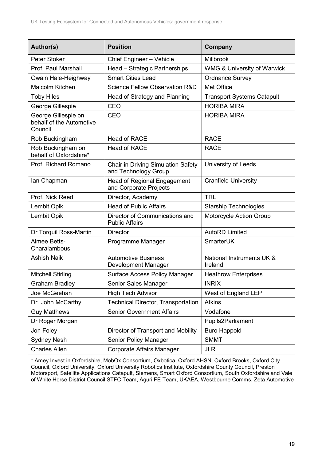| Author(s)                                                  | <b>Position</b>                                              | Company                                |
|------------------------------------------------------------|--------------------------------------------------------------|----------------------------------------|
| Peter Stoker                                               | Chief Engineer - Vehicle                                     | Millbrook                              |
| Prof. Paul Marshall                                        | Head - Strategic Partnerships                                | <b>WMG &amp; University of Warwick</b> |
| Owain Hale-Heighway                                        | <b>Smart Cities Lead</b>                                     | <b>Ordnance Survey</b>                 |
| Malcolm Kitchen                                            | Science Fellow Observation R&D                               | Met Office                             |
| <b>Toby Hiles</b>                                          | Head of Strategy and Planning                                | <b>Transport Systems Catapult</b>      |
| George Gillespie                                           | CEO                                                          | <b>HORIBA MIRA</b>                     |
| George Gillespie on<br>behalf of the Automotive<br>Council | CEO                                                          | <b>HORIBA MIRA</b>                     |
| Rob Buckingham                                             | <b>Head of RACE</b>                                          | <b>RACE</b>                            |
| Rob Buckingham on<br>behalf of Oxfordshire*                | <b>Head of RACE</b>                                          | <b>RACE</b>                            |
| Prof. Richard Romano                                       | Chair in Driving Simulation Safety<br>and Technology Group   | University of Leeds                    |
| lan Chapman                                                | <b>Head of Regional Engagement</b><br>and Corporate Projects | <b>Cranfield University</b>            |
| Prof. Nick Reed                                            | Director, Academy                                            | <b>TRL</b>                             |
| Lembit Opik                                                | <b>Head of Public Affairs</b>                                | <b>Starship Technologies</b>           |
| Lembit Opik                                                | Director of Communications and<br><b>Public Affairs</b>      | Motorcycle Action Group                |
| Dr Torquil Ross-Martin                                     | <b>Director</b>                                              | <b>AutoRD Limited</b>                  |
| Aimee Betts-<br>Charalambous                               | Programme Manager                                            | SmarterUK                              |
| <b>Ashish Naik</b>                                         | <b>Automotive Business</b><br>Development Manager            | National Instruments UK &<br>Ireland   |
| <b>Mitchell Stirling</b>                                   | <b>Surface Access Policy Manager</b>                         | <b>Heathrow Enterprises</b>            |
| <b>Graham Bradley</b>                                      | Senior Sales Manager                                         | <b>INRIX</b>                           |
| Joe McGeehan                                               | <b>High Tech Advisor</b>                                     | West of England LEP                    |
| Dr. John McCarthy                                          | <b>Technical Director, Transportation</b>                    | <b>Atkins</b>                          |
| <b>Guy Matthews</b>                                        | <b>Senior Government Affairs</b>                             | Vodafone                               |
| Dr Roger Morgan                                            |                                                              | Pupils2Parliament                      |
| Jon Foley                                                  | Director of Transport and Mobility                           | <b>Buro Happold</b>                    |
| Sydney Nash                                                | Senior Policy Manager                                        | <b>SMMT</b>                            |
| <b>Charles Allen</b>                                       | Corporate Affairs Manager                                    | <b>JLR</b>                             |

\* Amey Invest in Oxfordshire, MobOx Consortium, Oxbotica, Oxford AHSN, Oxford Brooks, Oxford City Council, Oxford University, Oxford University Robotics Institute, Oxfordshire County Council, Preston Motorsport, Satellite Applications Catapult, Siemens, Smart Oxford Consortium, South Oxfordshire and Vale of White Horse District Council STFC Team, Aguri FE Team, UKAEA, Westbourne Comms, Zeta Automotive